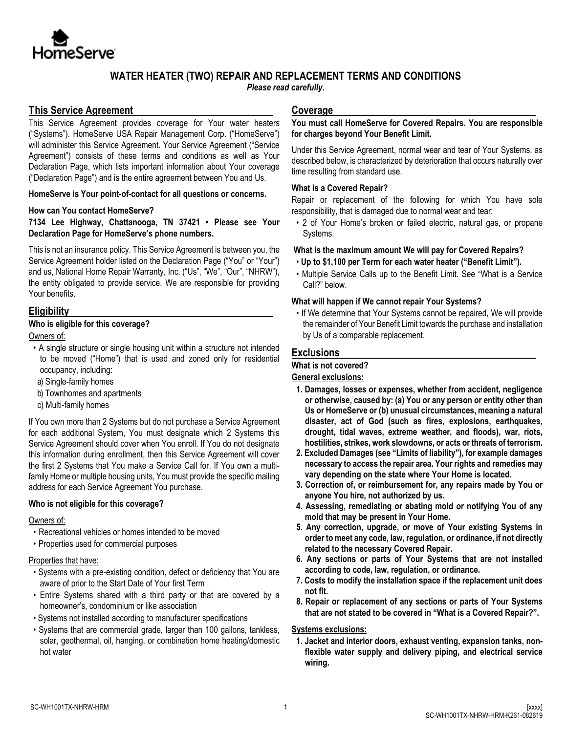

# **WATER HEATER (TWO) REPAIR AND REPLACEMENT TERMS AND CONDITIONS**

*Please read carefully.*

# **This Service Agreement**

This Service Agreement provides coverage for Your water heaters ("Systems"). HomeServe USA Repair Management Corp. ("HomeServe") will administer this Service Agreement. Your Service Agreement ("Service Agreement") consists of these terms and conditions as well as Your Declaration Page, which lists important information about Your coverage ("Declaration Page") and is the entire agreement between You and Us.

**HomeServe is Your point-of-contact for all questions or concerns.**

### **How can You contact HomeServe?**

**7134 Lee Highway, Chattanooga, TN 37421 • Please see Your Declaration Page for HomeServe's phone numbers.** 

This is not an insurance policy. This Service Agreement is between you, the Service Agreement holder listed on the Declaration Page ("You" or "Your") and us, National Home Repair Warranty, Inc. ("Us", "We", "Our", "NHRW"), the entity obligated to provide service. We are responsible for providing Your benefits.

# **Eligibility**

## **Who is eligible for this coverage?**

Owners of:

- A single structure or single housing unit within a structure not intended to be moved ("Home") that is used and zoned only for residential occupancy, including:
- a) Single-family homes
- b) Townhomes and apartments
- c) Multi-family homes

If You own more than 2 Systems but do not purchase a Service Agreement for each additional System, You must designate which 2 Systems this Service Agreement should cover when You enroll. If You do not designate this information during enrollment, then this Service Agreement will cover the first 2 Systems that You make a Service Call for. If You own a multifamily Home or multiple housing units, You must provide the specific mailing address for each Service Agreement You purchase.

### **Who is not eligible for this coverage?**

### Owners of:

- Recreational vehicles or homes intended to be moved
- Properties used for commercial purposes

### Properties that have:

- Systems with a pre-existing condition, defect or deficiency that You are aware of prior to the Start Date of Your first Term
- Entire Systems shared with a third party or that are covered by a homeowner's, condominium or like association
- Systems not installed according to manufacturer specifications
- Systems that are commercial grade, larger than 100 gallons, tankless, solar, geothermal, oil, hanging, or combination home heating/domestic hot water

# **Coverage**

#### **You must call HomeServe for Covered Repairs. You are responsible for charges beyond Your Benefit Limit.**

Under this Service Agreement, normal wear and tear of Your Systems, as described below, is characterized by deterioration that occurs naturally over time resulting from standard use.

## **What is a Covered Repair?**

Repair or replacement of the following for which You have sole responsibility, that is damaged due to normal wear and tear:

• 2 of Your Home's broken or failed electric, natural gas, or propane Systems.

## **What is the maximum amount We will pay for Covered Repairs?**

- **Up to \$1,100 per Term for each water heater ("Benefit Limit").**
- Multiple Service Calls up to the Benefit Limit. See "What is a Service Call?" below.

## **What will happen if We cannot repair Your Systems?**

• If We determine that Your Systems cannot be repaired, We will provide the remainder of Your Benefit Limit towards the purchase and installation by Us of a comparable replacement.

# **Exclusions**

**What is not covered?** 

## **General exclusions:**

- **1. Damages, losses or expenses, whether from accident, negligence or otherwise, caused by: (a) You or any person or entity other than Us or HomeServe or (b) unusual circumstances, meaning a natural disaster, act of God (such as fires, explosions, earthquakes, drought, tidal waves, extreme weather, and floods), war, riots, hostilities, strikes, work slowdowns, or acts or threats of terrorism.**
- **2. Excluded Damages (see "Limits of liability"), for example damages necessary to access the repair area. Your rights and remedies may vary depending on the state where Your Home is located.**
- **3. Correction of, or reimbursement for, any repairs made by You or anyone You hire, not authorized by us.**
- **4. Assessing, remediating or abating mold or notifying You of any mold that may be present in Your Home.**
- **5. Any correction, upgrade, or move of Your existing Systems in order to meet any code, law, regulation, or ordinance, if not directly related to the necessary Covered Repair.**
- **6. Any sections or parts of Your Systems that are not installed according to code, law, regulation, or ordinance.**
- **7. Costs to modify the installation space if the replacement unit does not fit.**
- **8. Repair or replacement of any sections or parts of Your Systems that are not stated to be covered in "What is a Covered Repair?".**

# **Systems exclusions:**

**1. Jacket and interior doors, exhaust venting, expansion tanks, nonflexible water supply and delivery piping, and electrical service wiring.**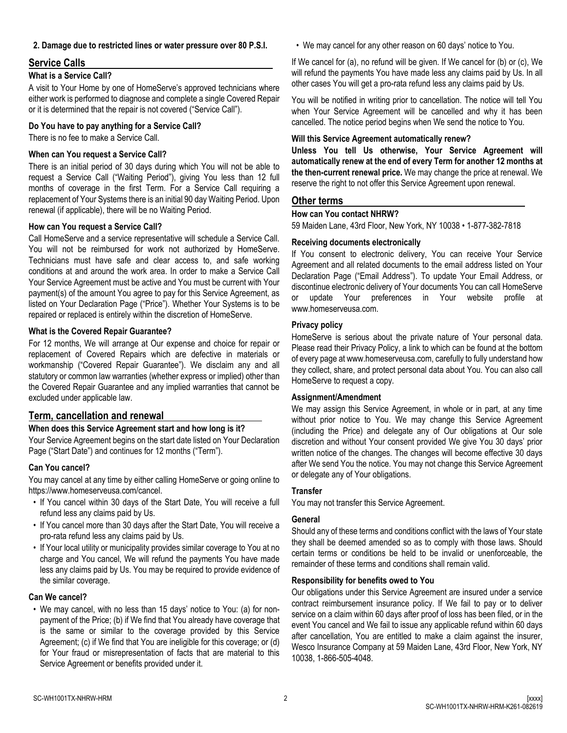### **2. Damage due to restricted lines or water pressure over 80 P.S.I.**

# **Service Calls**

## **What is a Service Call?**

A visit to Your Home by one of HomeServe's approved technicians where either work is performed to diagnose and complete a single Covered Repair or it is determined that the repair is not covered ("Service Call").

## **Do You have to pay anything for a Service Call?**

There is no fee to make a Service Call.

## **When can You request a Service Call?**

There is an initial period of 30 days during which You will not be able to request a Service Call ("Waiting Period"), giving You less than 12 full months of coverage in the first Term. For a Service Call requiring a replacement of Your Systems there is an initial 90 day Waiting Period. Upon renewal (if applicable), there will be no Waiting Period.

## **How can You request a Service Call?**

Call HomeServe and a service representative will schedule a Service Call. You will not be reimbursed for work not authorized by HomeServe. Technicians must have safe and clear access to, and safe working conditions at and around the work area. In order to make a Service Call Your Service Agreement must be active and You must be current with Your payment(s) of the amount You agree to pay for this Service Agreement, as listed on Your Declaration Page ("Price"). Whether Your Systems is to be repaired or replaced is entirely within the discretion of HomeServe.

### **What is the Covered Repair Guarantee?**

For 12 months, We will arrange at Our expense and choice for repair or replacement of Covered Repairs which are defective in materials or workmanship ("Covered Repair Guarantee"). We disclaim any and all statutory or common law warranties (whether express or implied) other than the Covered Repair Guarantee and any implied warranties that cannot be excluded under applicable law.

# **Term, cancellation and renewal**

### **When does this Service Agreement start and how long is it?**

Your Service Agreement begins on the start date listed on Your Declaration Page ("Start Date") and continues for 12 months ("Term").

## **Can You cancel?**

You may cancel at any time by either calling HomeServe or going online to https://www.homeserveusa.com/cancel.

- If You cancel within 30 days of the Start Date, You will receive a full refund less any claims paid by Us.
- If You cancel more than 30 days after the Start Date, You will receive a pro-rata refund less any claims paid by Us.
- If Your local utility or municipality provides similar coverage to You at no charge and You cancel, We will refund the payments You have made less any claims paid by Us. You may be required to provide evidence of the similar coverage.

### **Can We cancel?**

• We may cancel, with no less than 15 days' notice to You: (a) for nonpayment of the Price; (b) if We find that You already have coverage that is the same or similar to the coverage provided by this Service Agreement; (c) if We find that You are ineligible for this coverage; or (d) for Your fraud or misrepresentation of facts that are material to this Service Agreement or benefits provided under it.

• We may cancel for any other reason on 60 days' notice to You.

If We cancel for (a), no refund will be given. If We cancel for (b) or (c), We will refund the payments You have made less any claims paid by Us. In all other cases You will get a pro-rata refund less any claims paid by Us.

You will be notified in writing prior to cancellation. The notice will tell You when Your Service Agreement will be cancelled and why it has been cancelled. The notice period begins when We send the notice to You.

## **Will this Service Agreement automatically renew?**

**Unless You tell Us otherwise, Your Service Agreement will automatically renew at the end of every Term for another 12 months at the then-current renewal price.** We may change the price at renewal. We reserve the right to not offer this Service Agreement upon renewal.

# **Other terms**

# **How can You contact NHRW?**

59 Maiden Lane, 43rd Floor, New York, NY 10038 • 1-877-382-7818

### **Receiving documents electronically**

If You consent to electronic delivery, You can receive Your Service Agreement and all related documents to the email address listed on Your Declaration Page ("Email Address"). To update Your Email Address, or discontinue electronic delivery of Your documents You can call HomeServe or update Your preferences in Your website profile at www.homeserveusa.com.

## **Privacy policy**

HomeServe is serious about the private nature of Your personal data. Please read their Privacy Policy, a link to which can be found at the bottom of every page at www.homeserveusa.com, carefully to fully understand how they collect, share, and protect personal data about You. You can also call HomeServe to request a copy.

### **Assignment/Amendment**

We may assign this Service Agreement, in whole or in part, at any time without prior notice to You. We may change this Service Agreement (including the Price) and delegate any of Our obligations at Our sole discretion and without Your consent provided We give You 30 days' prior written notice of the changes. The changes will become effective 30 days after We send You the notice. You may not change this Service Agreement or delegate any of Your obligations.

### **Transfer**

You may not transfer this Service Agreement.

### **General**

Should any of these terms and conditions conflict with the laws of Your state they shall be deemed amended so as to comply with those laws. Should certain terms or conditions be held to be invalid or unenforceable, the remainder of these terms and conditions shall remain valid.

## **Responsibility for benefits owed to You**

Our obligations under this Service Agreement are insured under a service contract reimbursement insurance policy. If We fail to pay or to deliver service on a claim within 60 days after proof of loss has been filed, or in the event You cancel and We fail to issue any applicable refund within 60 days after cancellation, You are entitled to make a claim against the insurer, Wesco Insurance Company at 59 Maiden Lane, 43rd Floor, New York, NY 10038, 1-866-505-4048.